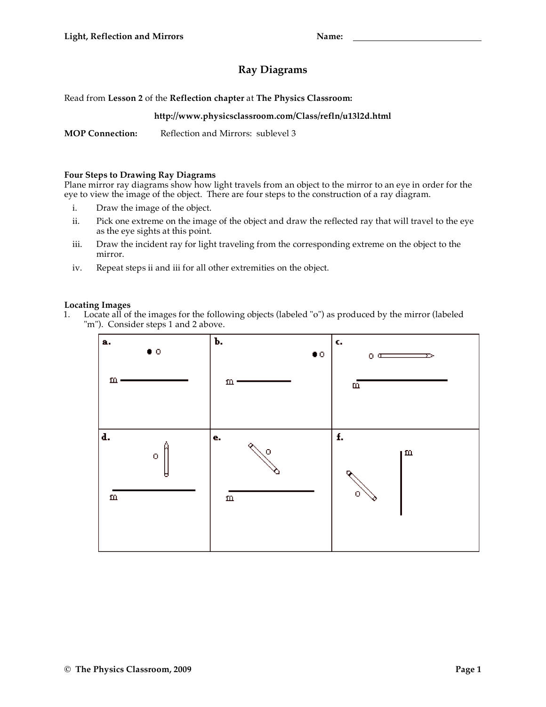# **Ray Diagrams**

Read from **Lesson 2** of the **Reflection chapter** at **The Physics Classroom:**

## **http://www.physicsclassroom.com/Class/refln/u13l2d.html**

**MOP Connection:** Reflection and Mirrors: sublevel 3

### **Four Steps to Drawing Ray Diagrams**

Plane mirror ray diagrams show how light travels from an object to the mirror to an eye in order for the eye to view the image of the object. There are four steps to the construction of a ray diagram.

- i. Draw the image of the object.
- ii. Pick one extreme on the image of the object and draw the reflected ray that will travel to the eye as the eye sights at this point.
- iii. Draw the incident ray for light traveling from the corresponding extreme on the object to the mirror.
- iv. Repeat steps ii and iii for all other extremities on the object.

# **Locating Images**

1. Locate all of the images for the following objects (labeled "o") as produced by the mirror (labeled "m"). Consider steps 1 and 2 above.

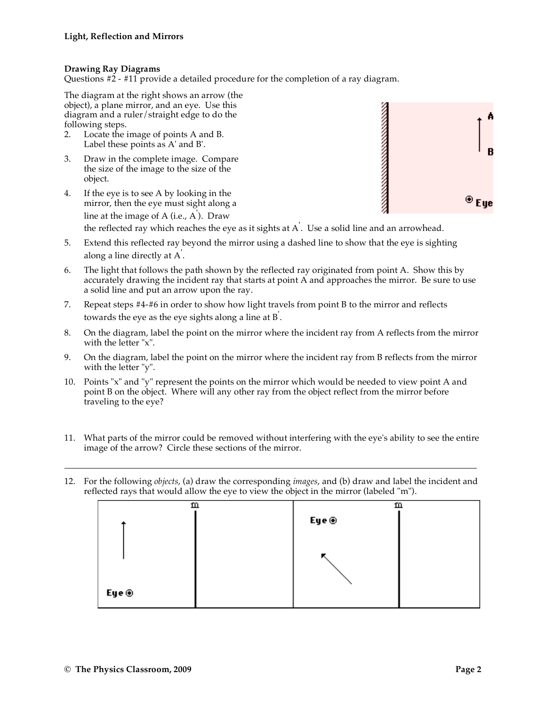### **Drawing Ray Diagrams**

Questions #2 - #11 provide a detailed procedure for the completion of a ray diagram.

The diagram at the right shows an arrow (the object), a plane mirror, and an eye. Use this diagram and a ruler/straight edge to do the following steps. 2. Locate the image of points A and B. Label these points as A' and B'. 3. Draw in the complete image. Compare the size of the image to the size of the object. 4. If the eye is to see A by looking in the mirror, then the eye must sight along a

line at the image of A (i.e., A' ). Draw



the reflected ray which reaches the eye as it sights at A  $\dot{ }$  . Use a solid line and an arrowhead.

- 5. Extend this reflected ray beyond the mirror using a dashed line to show that the eye is sighting along a line directly at A' .
- 6. The light that follows the path shown by the reflected ray originated from point A. Show this by accurately drawing the incident ray that starts at point A and approaches the mirror. Be sure to use a solid line and put an arrow upon the ray.
- 7. Repeat steps #4-#6 in order to show how light travels from point B to the mirror and reflects towards the eye as the eye sights along a line at B' .
- 8. On the diagram, label the point on the mirror where the incident ray from A reflects from the mirror with the letter "x".
- 9. On the diagram, label the point on the mirror where the incident ray from B reflects from the mirror with the letter "y".
- 10. Points "x" and "y" represent the points on the mirror which would be needed to view point A and point B on the object. Where will any other ray from the object reflect from the mirror before traveling to the eye?
- 11. What parts of the mirror could be removed without interfering with the eye's ability to see the entire image of the arrow? Circle these sections of the mirror.
- 12. For the following *objects*, (a) draw the corresponding *images*, and (b) draw and label the incident and reflected rays that would allow the eye to view the object in the mirror (labeled "m").

| $\tilde{\phantom{a}}$<br>$\ddot{\phantom{1}}$<br>m |  | $\overline{\phantom{a}}$<br>m<br>Eye⊛ |  |  |
|----------------------------------------------------|--|---------------------------------------|--|--|
|                                                    |  |                                       |  |  |
| Eye⊚                                               |  |                                       |  |  |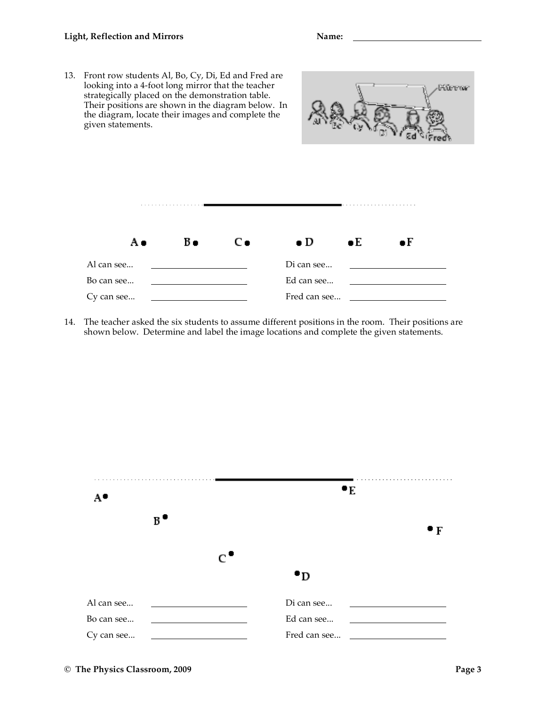|            | 13. Front row students Al, Bo, Cy, Di, Ed and Fred are<br>looking into a 4-foot long mirror that the teacher<br>strategically placed on the demonstration table.<br>Their positions are shown in the diagram below. In<br>the diagram, locate their images and complete the<br>given statements. |    |            |              | Mirror      |             |  |  |
|------------|--------------------------------------------------------------------------------------------------------------------------------------------------------------------------------------------------------------------------------------------------------------------------------------------------|----|------------|--------------|-------------|-------------|--|--|
|            |                                                                                                                                                                                                                                                                                                  |    |            |              |             |             |  |  |
|            | А٠                                                                                                                                                                                                                                                                                               | B. | $C -$      | $\bullet$ D  | $\bullet$ E | $\bullet$ F |  |  |
|            | Al can see                                                                                                                                                                                                                                                                                       |    |            | Di can see   |             |             |  |  |
|            | Bo can see                                                                                                                                                                                                                                                                                       |    | Ed can see |              |             |             |  |  |
| Cy can see |                                                                                                                                                                                                                                                                                                  |    |            | Fred can see |             |             |  |  |
|            |                                                                                                                                                                                                                                                                                                  |    |            |              |             |             |  |  |

14. The teacher asked the six students to assume different positions in the room. Their positions are shown below. Determine and label the image locations and complete the given statements.